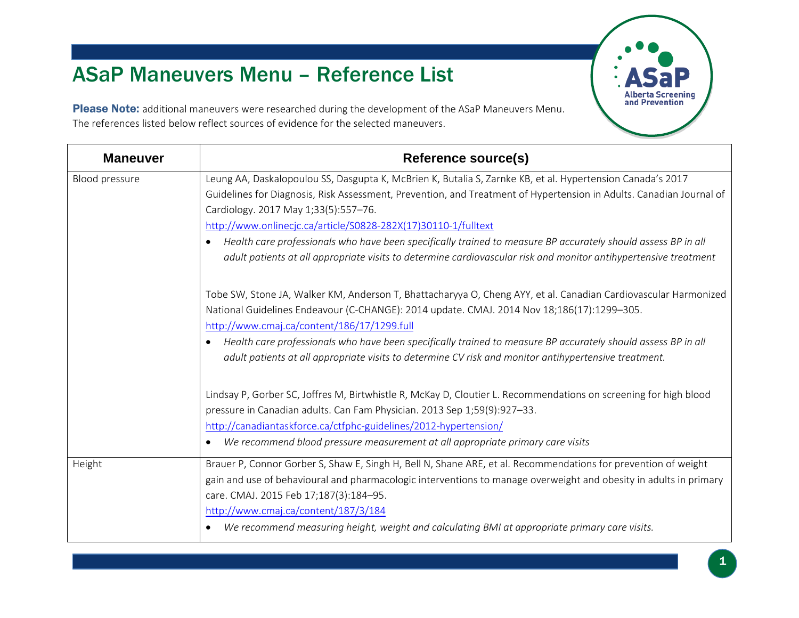## ASaP Maneuvers Menu – Reference List

Please Note: additional maneuvers were researched during the development of the ASaP Maneuvers Menu. The references listed below reflect sources of evidence for the selected maneuvers.

| <b>Maneuver</b> | <b>Reference source(s)</b>                                                                                                                                                                                                                                                                                                                                                                                                                                                |
|-----------------|---------------------------------------------------------------------------------------------------------------------------------------------------------------------------------------------------------------------------------------------------------------------------------------------------------------------------------------------------------------------------------------------------------------------------------------------------------------------------|
| Blood pressure  | Leung AA, Daskalopoulou SS, Dasgupta K, McBrien K, Butalia S, Zarnke KB, et al. Hypertension Canada's 2017<br>Guidelines for Diagnosis, Risk Assessment, Prevention, and Treatment of Hypertension in Adults. Canadian Journal of<br>Cardiology. 2017 May 1;33(5):557-76.<br>http://www.onlinecjc.ca/article/S0828-282X(17)30110-1/fulltext<br>Health care professionals who have been specifically trained to measure BP accurately should assess BP in all<br>$\bullet$ |
|                 | adult patients at all appropriate visits to determine cardiovascular risk and monitor antihypertensive treatment<br>Tobe SW, Stone JA, Walker KM, Anderson T, Bhattacharyya O, Cheng AYY, et al. Canadian Cardiovascular Harmonized<br>National Guidelines Endeavour (C-CHANGE): 2014 update. CMAJ. 2014 Nov 18;186(17):1299-305.                                                                                                                                         |
|                 | http://www.cmaj.ca/content/186/17/1299.full<br>Health care professionals who have been specifically trained to measure BP accurately should assess BP in all<br>$\bullet$<br>adult patients at all appropriate visits to determine CV risk and monitor antihypertensive treatment.                                                                                                                                                                                        |
|                 | Lindsay P, Gorber SC, Joffres M, Birtwhistle R, McKay D, Cloutier L. Recommendations on screening for high blood<br>pressure in Canadian adults. Can Fam Physician. 2013 Sep 1;59(9):927-33.<br>http://canadiantaskforce.ca/ctfphc-guidelines/2012-hypertension/<br>We recommend blood pressure measurement at all appropriate primary care visits<br>$\bullet$                                                                                                           |
| Height          | Brauer P, Connor Gorber S, Shaw E, Singh H, Bell N, Shane ARE, et al. Recommendations for prevention of weight<br>gain and use of behavioural and pharmacologic interventions to manage overweight and obesity in adults in primary<br>care. CMAJ. 2015 Feb 17;187(3):184-95.<br>http://www.cmaj.ca/content/187/3/184<br>We recommend measuring height, weight and calculating BMI at appropriate primary care visits.                                                    |

**Alberta Screening** and Prevention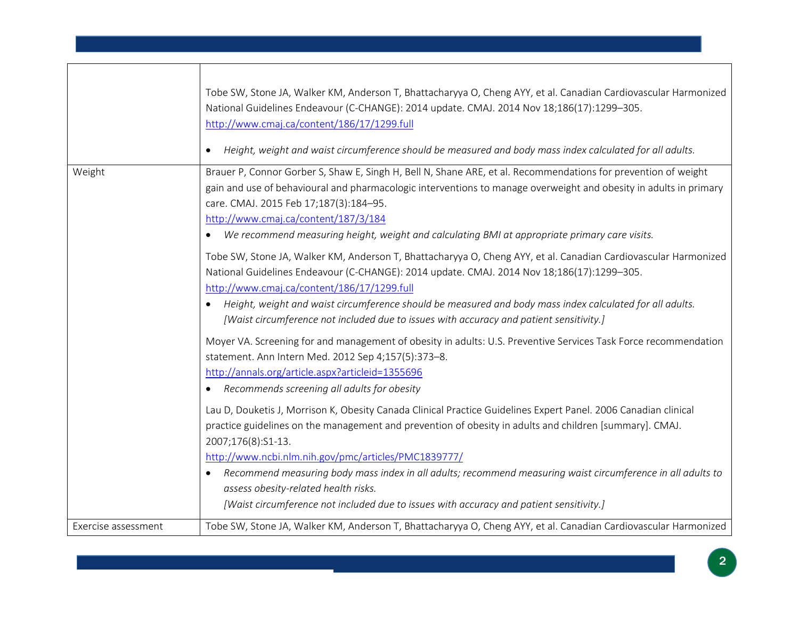|                     | Tobe SW, Stone JA, Walker KM, Anderson T, Bhattacharyya O, Cheng AYY, et al. Canadian Cardiovascular Harmonized<br>National Guidelines Endeavour (C-CHANGE): 2014 update. CMAJ. 2014 Nov 18;186(17):1299-305.<br>http://www.cmaj.ca/content/186/17/1299.full<br>Height, weight and waist circumference should be measured and body mass index calculated for all adults.<br>$\bullet$                                                                                                                                                                                                                                                                                                                                                                                                                                                                                                                                                           |
|---------------------|-------------------------------------------------------------------------------------------------------------------------------------------------------------------------------------------------------------------------------------------------------------------------------------------------------------------------------------------------------------------------------------------------------------------------------------------------------------------------------------------------------------------------------------------------------------------------------------------------------------------------------------------------------------------------------------------------------------------------------------------------------------------------------------------------------------------------------------------------------------------------------------------------------------------------------------------------|
| Weight              | Brauer P, Connor Gorber S, Shaw E, Singh H, Bell N, Shane ARE, et al. Recommendations for prevention of weight<br>gain and use of behavioural and pharmacologic interventions to manage overweight and obesity in adults in primary<br>care. CMAJ. 2015 Feb 17;187(3):184-95.<br>http://www.cmaj.ca/content/187/3/184<br>We recommend measuring height, weight and calculating BMI at appropriate primary care visits.<br>$\bullet$<br>Tobe SW, Stone JA, Walker KM, Anderson T, Bhattacharyya O, Cheng AYY, et al. Canadian Cardiovascular Harmonized<br>National Guidelines Endeavour (C-CHANGE): 2014 update. CMAJ. 2014 Nov 18;186(17):1299-305.<br>http://www.cmaj.ca/content/186/17/1299.full<br>Height, weight and waist circumference should be measured and body mass index calculated for all adults.<br>$\bullet$                                                                                                                    |
|                     | [Waist circumference not included due to issues with accuracy and patient sensitivity.]<br>Moyer VA. Screening for and management of obesity in adults: U.S. Preventive Services Task Force recommendation<br>statement. Ann Intern Med. 2012 Sep 4;157(5):373-8.<br>http://annals.org/article.aspx?articleid=1355696<br>Recommends screening all adults for obesity<br>$\bullet$<br>Lau D, Douketis J, Morrison K, Obesity Canada Clinical Practice Guidelines Expert Panel. 2006 Canadian clinical<br>practice guidelines on the management and prevention of obesity in adults and children [summary]. CMAJ.<br>2007;176(8):S1-13.<br>http://www.ncbi.nlm.nih.gov/pmc/articles/PMC1839777/<br>Recommend measuring body mass index in all adults; recommend measuring waist circumference in all adults to<br>assess obesity-related health risks.<br>[Waist circumference not included due to issues with accuracy and patient sensitivity.] |
| Exercise assessment | Tobe SW, Stone JA, Walker KM, Anderson T, Bhattacharyya O, Cheng AYY, et al. Canadian Cardiovascular Harmonized                                                                                                                                                                                                                                                                                                                                                                                                                                                                                                                                                                                                                                                                                                                                                                                                                                 |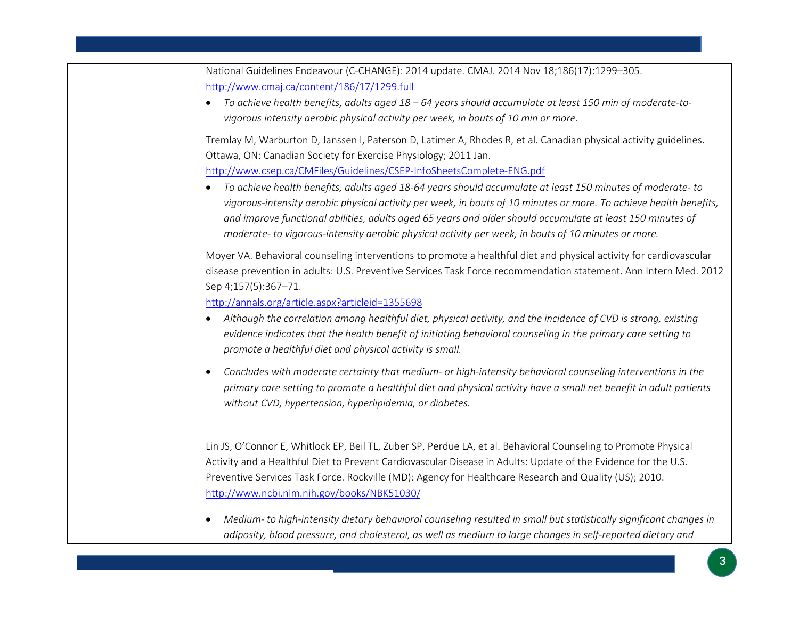| National Guidelines Endeavour (C-CHANGE): 2014 update. CMAJ. 2014 Nov 18;186(17):1299-305.                                                                                                                                                                                                                                                                                                                                                                        |
|-------------------------------------------------------------------------------------------------------------------------------------------------------------------------------------------------------------------------------------------------------------------------------------------------------------------------------------------------------------------------------------------------------------------------------------------------------------------|
| http://www.cmaj.ca/content/186/17/1299.full                                                                                                                                                                                                                                                                                                                                                                                                                       |
| To achieve health benefits, adults aged 18 - 64 years should accumulate at least 150 min of moderate-to-<br>$\bullet$                                                                                                                                                                                                                                                                                                                                             |
| vigorous intensity aerobic physical activity per week, in bouts of 10 min or more.                                                                                                                                                                                                                                                                                                                                                                                |
| Tremlay M, Warburton D, Janssen I, Paterson D, Latimer A, Rhodes R, et al. Canadian physical activity guidelines.<br>Ottawa, ON: Canadian Society for Exercise Physiology; 2011 Jan.                                                                                                                                                                                                                                                                              |
| http://www.csep.ca/CMFiles/Guidelines/CSEP-InfoSheetsComplete-ENG.pdf                                                                                                                                                                                                                                                                                                                                                                                             |
|                                                                                                                                                                                                                                                                                                                                                                                                                                                                   |
| To achieve health benefits, adults aged 18-64 years should accumulate at least 150 minutes of moderate-to<br>$\bullet$<br>vigorous-intensity aerobic physical activity per week, in bouts of 10 minutes or more. To achieve health benefits,<br>and improve functional abilities, adults aged 65 years and older should accumulate at least 150 minutes of<br>moderate- to vigorous-intensity aerobic physical activity per week, in bouts of 10 minutes or more. |
| Moyer VA. Behavioral counseling interventions to promote a healthful diet and physical activity for cardiovascular<br>disease prevention in adults: U.S. Preventive Services Task Force recommendation statement. Ann Intern Med. 2012<br>Sep 4;157(5):367-71.                                                                                                                                                                                                    |
| http://annals.org/article.aspx?articleid=1355698                                                                                                                                                                                                                                                                                                                                                                                                                  |
| Although the correlation among healthful diet, physical activity, and the incidence of CVD is strong, existing<br>$\bullet$<br>evidence indicates that the health benefit of initiating behavioral counseling in the primary care setting to<br>promote a healthful diet and physical activity is small.                                                                                                                                                          |
| Concludes with moderate certainty that medium- or high-intensity behavioral counseling interventions in the<br>$\bullet$<br>primary care setting to promote a healthful diet and physical activity have a small net benefit in adult patients<br>without CVD, hypertension, hyperlipidemia, or diabetes.                                                                                                                                                          |
| Lin JS, O'Connor E, Whitlock EP, Beil TL, Zuber SP, Perdue LA, et al. Behavioral Counseling to Promote Physical                                                                                                                                                                                                                                                                                                                                                   |
| Activity and a Healthful Diet to Prevent Cardiovascular Disease in Adults: Update of the Evidence for the U.S.                                                                                                                                                                                                                                                                                                                                                    |
| Preventive Services Task Force. Rockville (MD): Agency for Healthcare Research and Quality (US); 2010.                                                                                                                                                                                                                                                                                                                                                            |
| http://www.ncbi.nlm.nih.gov/books/NBK51030/                                                                                                                                                                                                                                                                                                                                                                                                                       |
| Medium- to high-intensity dietary behavioral counseling resulted in small but statistically significant changes in<br>$\bullet$<br>adiposity, blood pressure, and cholesterol, as well as medium to large changes in self-reported dietary and                                                                                                                                                                                                                    |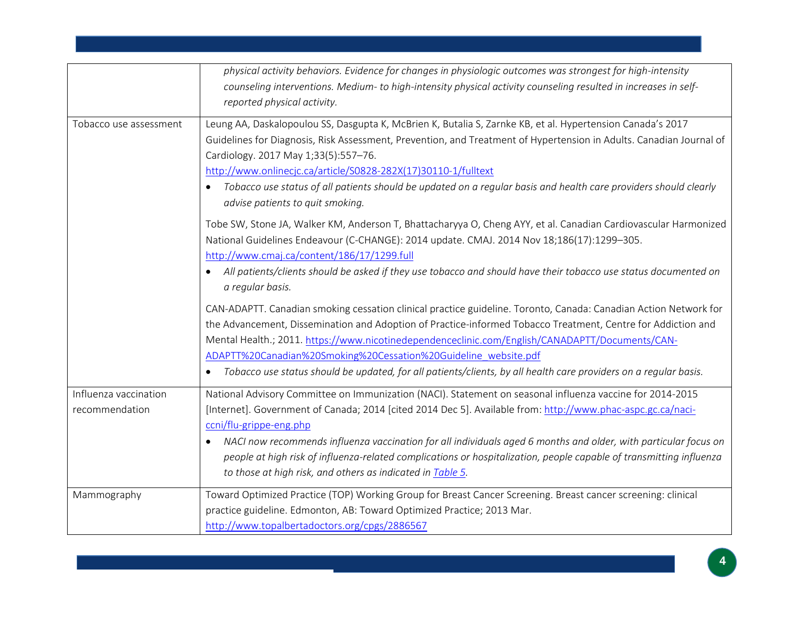|                                         | physical activity behaviors. Evidence for changes in physiologic outcomes was strongest for high-intensity<br>counseling interventions. Medium- to high-intensity physical activity counseling resulted in increases in self-<br>reported physical activity.                                                                                                                                                                                                                                                                                                             |
|-----------------------------------------|--------------------------------------------------------------------------------------------------------------------------------------------------------------------------------------------------------------------------------------------------------------------------------------------------------------------------------------------------------------------------------------------------------------------------------------------------------------------------------------------------------------------------------------------------------------------------|
| Tobacco use assessment                  | Leung AA, Daskalopoulou SS, Dasgupta K, McBrien K, Butalia S, Zarnke KB, et al. Hypertension Canada's 2017<br>Guidelines for Diagnosis, Risk Assessment, Prevention, and Treatment of Hypertension in Adults. Canadian Journal of<br>Cardiology. 2017 May 1;33(5):557-76.<br>http://www.onlinecjc.ca/article/S0828-282X(17)30110-1/fulltext<br>Tobacco use status of all patients should be updated on a regular basis and health care providers should clearly<br>advise patients to quit smoking.                                                                      |
|                                         | Tobe SW, Stone JA, Walker KM, Anderson T, Bhattacharyya O, Cheng AYY, et al. Canadian Cardiovascular Harmonized<br>National Guidelines Endeavour (C-CHANGE): 2014 update. CMAJ. 2014 Nov 18;186(17):1299-305.<br>http://www.cmaj.ca/content/186/17/1299.full<br>All patients/clients should be asked if they use tobacco and should have their tobacco use status documented on<br>a regular basis.                                                                                                                                                                      |
|                                         | CAN-ADAPTT. Canadian smoking cessation clinical practice guideline. Toronto, Canada: Canadian Action Network for<br>the Advancement, Dissemination and Adoption of Practice-informed Tobacco Treatment, Centre for Addiction and<br>Mental Health.; 2011. https://www.nicotinedependenceclinic.com/English/CANADAPTT/Documents/CAN-<br>ADAPTT%20Canadian%20Smoking%20Cessation%20Guideline_website.pdf<br>Tobacco use status should be updated, for all patients/clients, by all health care providers on a regular basis.                                               |
| Influenza vaccination<br>recommendation | National Advisory Committee on Immunization (NACI). Statement on seasonal influenza vaccine for 2014-2015<br>[Internet]. Government of Canada; 2014 [cited 2014 Dec 5]. Available from: http://www.phac-aspc.gc.ca/naci-<br>ccni/flu-grippe-eng.php<br>NACI now recommends influenza vaccination for all individuals aged 6 months and older, with particular focus on<br>$\bullet$<br>people at high risk of influenza-related complications or hospitalization, people capable of transmitting influenza<br>to those at high risk, and others as indicated in Table 5. |
| Mammography                             | Toward Optimized Practice (TOP) Working Group for Breast Cancer Screening. Breast cancer screening: clinical<br>practice guideline. Edmonton, AB: Toward Optimized Practice; 2013 Mar.<br>http://www.topalbertadoctors.org/cpgs/2886567                                                                                                                                                                                                                                                                                                                                  |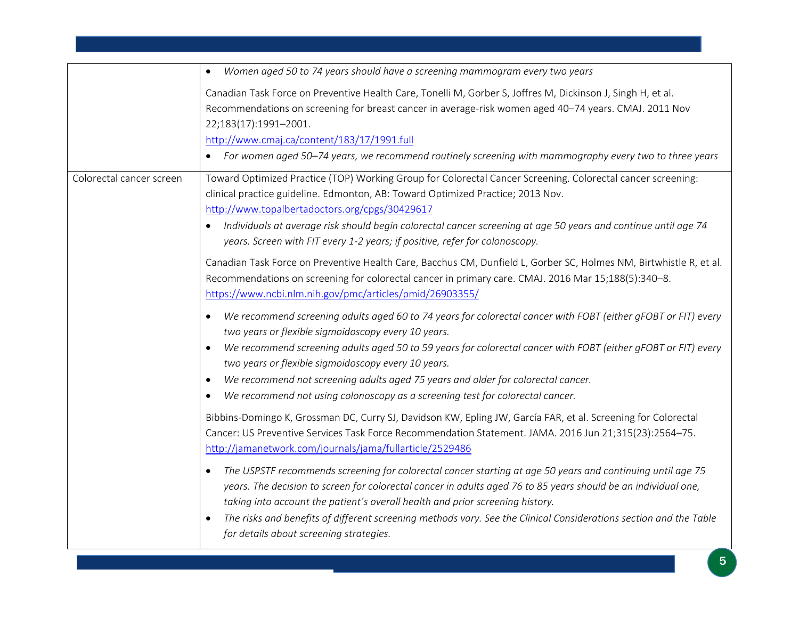|                          | Women aged 50 to 74 years should have a screening mammogram every two years<br>$\bullet$                                                                                                                                                                                                                                                                                                                                                                                                                                                                              |
|--------------------------|-----------------------------------------------------------------------------------------------------------------------------------------------------------------------------------------------------------------------------------------------------------------------------------------------------------------------------------------------------------------------------------------------------------------------------------------------------------------------------------------------------------------------------------------------------------------------|
|                          | Canadian Task Force on Preventive Health Care, Tonelli M, Gorber S, Joffres M, Dickinson J, Singh H, et al.<br>Recommendations on screening for breast cancer in average-risk women aged 40-74 years. CMAJ. 2011 Nov<br>22;183(17):1991-2001.<br>http://www.cmaj.ca/content/183/17/1991.full<br>For women aged 50–74 years, we recommend routinely screening with mammography every two to three years                                                                                                                                                                |
| Colorectal cancer screen | Toward Optimized Practice (TOP) Working Group for Colorectal Cancer Screening. Colorectal cancer screening:<br>clinical practice guideline. Edmonton, AB: Toward Optimized Practice; 2013 Nov.<br>http://www.topalbertadoctors.org/cpgs/30429617<br>• Individuals at average risk should begin colorectal cancer screening at age 50 years and continue until age 74<br>years. Screen with FIT every 1-2 years; if positive, refer for colonoscopy.                                                                                                                   |
|                          | Canadian Task Force on Preventive Health Care, Bacchus CM, Dunfield L, Gorber SC, Holmes NM, Birtwhistle R, et al.<br>Recommendations on screening for colorectal cancer in primary care. CMAJ. 2016 Mar 15;188(5):340-8.<br>https://www.ncbi.nlm.nih.gov/pmc/articles/pmid/26903355/                                                                                                                                                                                                                                                                                 |
|                          | We recommend screening adults aged 60 to 74 years for colorectal cancer with FOBT (either gFOBT or FIT) every<br>$\bullet$<br>two years or flexible sigmoidoscopy every 10 years.<br>We recommend screening adults aged 50 to 59 years for colorectal cancer with FOBT (either gFOBT or FIT) every<br>$\bullet$<br>two years or flexible sigmoidoscopy every 10 years.<br>We recommend not screening adults aged 75 years and older for colorectal cancer.<br>$\bullet$<br>We recommend not using colonoscopy as a screening test for colorectal cancer.<br>$\bullet$ |
|                          | Bibbins-Domingo K, Grossman DC, Curry SJ, Davidson KW, Epling JW, García FAR, et al. Screening for Colorectal<br>Cancer: US Preventive Services Task Force Recommendation Statement. JAMA. 2016 Jun 21;315(23):2564-75.<br>http://jamanetwork.com/journals/jama/fullarticle/2529486                                                                                                                                                                                                                                                                                   |
|                          | The USPSTF recommends screening for colorectal cancer starting at age 50 years and continuing until age 75<br>$\bullet$<br>years. The decision to screen for colorectal cancer in adults aged 76 to 85 years should be an individual one,<br>taking into account the patient's overall health and prior screening history.<br>The risks and benefits of different screening methods vary. See the Clinical Considerations section and the Table<br>for details about screening strategies.                                                                            |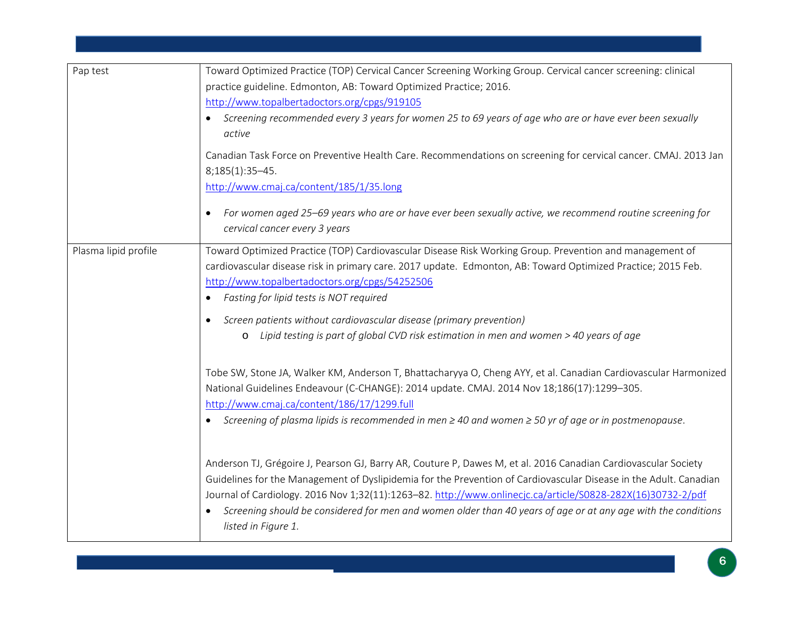| Pap test             | Toward Optimized Practice (TOP) Cervical Cancer Screening Working Group. Cervical cancer screening: clinical                                                                                                                     |
|----------------------|----------------------------------------------------------------------------------------------------------------------------------------------------------------------------------------------------------------------------------|
|                      | practice guideline. Edmonton, AB: Toward Optimized Practice; 2016.                                                                                                                                                               |
|                      | http://www.topalbertadoctors.org/cpgs/919105                                                                                                                                                                                     |
|                      | Screening recommended every 3 years for women 25 to 69 years of age who are or have ever been sexually                                                                                                                           |
|                      | active                                                                                                                                                                                                                           |
|                      | Canadian Task Force on Preventive Health Care. Recommendations on screening for cervical cancer. CMAJ. 2013 Jan                                                                                                                  |
|                      | $8;185(1):35-45.$                                                                                                                                                                                                                |
|                      | http://www.cmaj.ca/content/185/1/35.long                                                                                                                                                                                         |
|                      | For women aged 25–69 years who are or have ever been sexually active, we recommend routine screening for<br>$\bullet$<br>cervical cancer every 3 years                                                                           |
| Plasma lipid profile | Toward Optimized Practice (TOP) Cardiovascular Disease Risk Working Group. Prevention and management of                                                                                                                          |
|                      | cardiovascular disease risk in primary care. 2017 update. Edmonton, AB: Toward Optimized Practice; 2015 Feb.                                                                                                                     |
|                      | http://www.topalbertadoctors.org/cpgs/54252506                                                                                                                                                                                   |
|                      | Fasting for lipid tests is NOT required<br>$\bullet$                                                                                                                                                                             |
|                      | Screen patients without cardiovascular disease (primary prevention)                                                                                                                                                              |
|                      | o Lipid testing is part of global CVD risk estimation in men and women > 40 years of age                                                                                                                                         |
|                      | Tobe SW, Stone JA, Walker KM, Anderson T, Bhattacharyya O, Cheng AYY, et al. Canadian Cardiovascular Harmonized<br>National Guidelines Endeavour (C-CHANGE): 2014 update. CMAJ. 2014 Nov 18;186(17):1299-305.                    |
|                      | http://www.cmaj.ca/content/186/17/1299.full                                                                                                                                                                                      |
|                      | Screening of plasma lipids is recommended in men $\geq$ 40 and women $\geq$ 50 yr of age or in postmenopause.                                                                                                                    |
|                      | Anderson TJ, Grégoire J, Pearson GJ, Barry AR, Couture P, Dawes M, et al. 2016 Canadian Cardiovascular Society                                                                                                                   |
|                      | Guidelines for the Management of Dyslipidemia for the Prevention of Cardiovascular Disease in the Adult. Canadian<br>Journal of Cardiology. 2016 Nov 1;32(11):1263-82. http://www.onlinecjc.ca/article/S0828-282X(16)30732-2/pdf |
|                      | Screening should be considered for men and women older than 40 years of age or at any age with the conditions<br>listed in Figure 1.                                                                                             |

,我们也不会有什么。""我们的人,我们也不会有什么?""我们的人,我们也不会有什么?""我们的人,我们也不会有什么?""我们的人,我们也不会有什么?""我们的人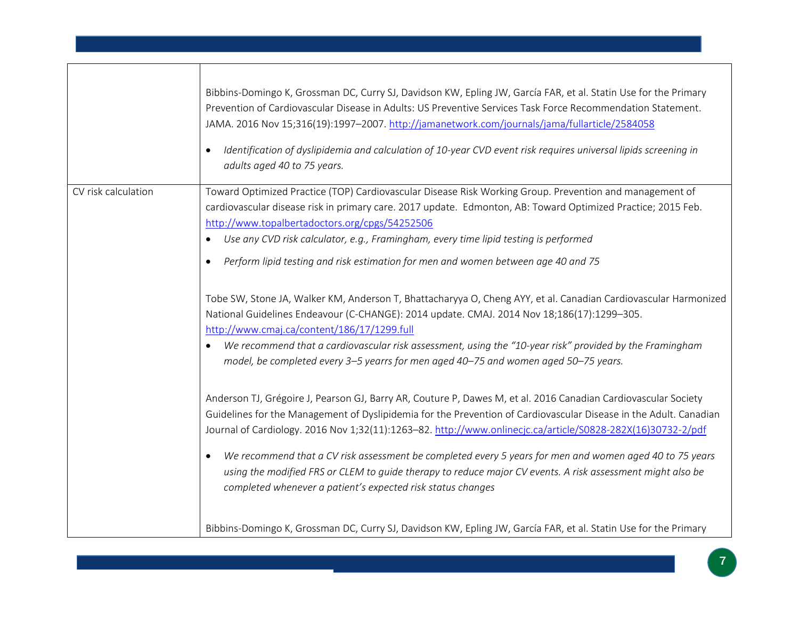|                     | Bibbins-Domingo K, Grossman DC, Curry SJ, Davidson KW, Epling JW, García FAR, et al. Statin Use for the Primary<br>Prevention of Cardiovascular Disease in Adults: US Preventive Services Task Force Recommendation Statement.<br>JAMA. 2016 Nov 15;316(19):1997-2007. http://jamanetwork.com/journals/jama/fullarticle/2584058<br>Identification of dyslipidemia and calculation of 10-year CVD event risk requires universal lipids screening in<br>$\bullet$<br>adults aged 40 to 75 years.                                                                                                                                                                                                                                                                                                                                                                                                                                                                                                                                                                                                                                                                                                                                                                                                                                                                                                                                                                                                                                                              |
|---------------------|-------------------------------------------------------------------------------------------------------------------------------------------------------------------------------------------------------------------------------------------------------------------------------------------------------------------------------------------------------------------------------------------------------------------------------------------------------------------------------------------------------------------------------------------------------------------------------------------------------------------------------------------------------------------------------------------------------------------------------------------------------------------------------------------------------------------------------------------------------------------------------------------------------------------------------------------------------------------------------------------------------------------------------------------------------------------------------------------------------------------------------------------------------------------------------------------------------------------------------------------------------------------------------------------------------------------------------------------------------------------------------------------------------------------------------------------------------------------------------------------------------------------------------------------------------------|
| CV risk calculation | Toward Optimized Practice (TOP) Cardiovascular Disease Risk Working Group. Prevention and management of<br>cardiovascular disease risk in primary care. 2017 update. Edmonton, AB: Toward Optimized Practice; 2015 Feb.<br>http://www.topalbertadoctors.org/cpgs/54252506<br>Use any CVD risk calculator, e.g., Framingham, every time lipid testing is performed<br>$\bullet$<br>Perform lipid testing and risk estimation for men and women between age 40 and 75<br>$\bullet$<br>Tobe SW, Stone JA, Walker KM, Anderson T, Bhattacharyya O, Cheng AYY, et al. Canadian Cardiovascular Harmonized<br>National Guidelines Endeavour (C-CHANGE): 2014 update. CMAJ. 2014 Nov 18;186(17):1299-305.<br>http://www.cmaj.ca/content/186/17/1299.full<br>We recommend that a cardiovascular risk assessment, using the "10-year risk" provided by the Framingham<br>$\bullet$<br>model, be completed every 3-5 yearrs for men aged 40-75 and women aged 50-75 years.<br>Anderson TJ, Grégoire J, Pearson GJ, Barry AR, Couture P, Dawes M, et al. 2016 Canadian Cardiovascular Society<br>Guidelines for the Management of Dyslipidemia for the Prevention of Cardiovascular Disease in the Adult. Canadian<br>Journal of Cardiology. 2016 Nov 1;32(11):1263-82. http://www.onlinecjc.ca/article/S0828-282X(16)30732-2/pdf<br>We recommend that a CV risk assessment be completed every 5 years for men and women aged 40 to 75 years<br>$\bullet$<br>using the modified FRS or CLEM to guide therapy to reduce major CV events. A risk assessment might also be |
|                     | completed whenever a patient's expected risk status changes<br>Bibbins-Domingo K, Grossman DC, Curry SJ, Davidson KW, Epling JW, García FAR, et al. Statin Use for the Primary                                                                                                                                                                                                                                                                                                                                                                                                                                                                                                                                                                                                                                                                                                                                                                                                                                                                                                                                                                                                                                                                                                                                                                                                                                                                                                                                                                              |